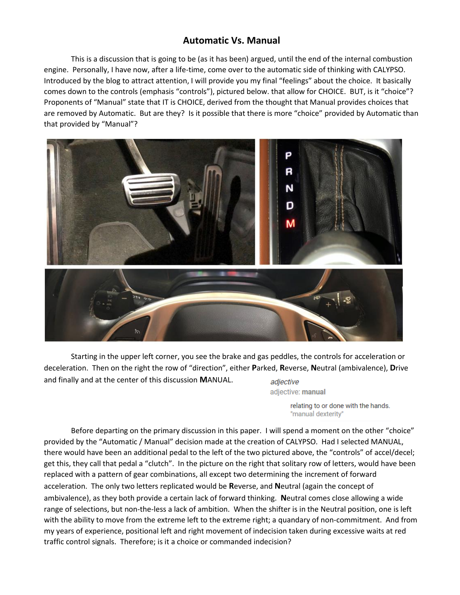## **Automatic Vs. Manual**

This is a discussion that is going to be (as it has been) argued, until the end of the internal combustion engine. Personally, I have now, after a life-time, come over to the automatic side of thinking with CALYPSO. Introduced by the blog to attract attention, I will provide you my final "feelings" about the choice. It basically comes down to the controls (emphasis "controls"), pictured below. that allow for CHOICE. BUT, is it "choice"? Proponents of "Manual" state that IT is CHOICE, derived from the thought that Manual provides choices that are removed by Automatic. But are they? Is it possible that there is more "choice" provided by Automatic than that provided by "Manual"?



Starting in the upper left corner, you see the brake and gas peddles, the controls for acceleration or deceleration. Then on the right the row of "direction", either **P**arked, **R**everse, **N**eutral (ambivalence), **D**rive and finally and at the center of this discussion **M**ANUAL. adjective

adjective: manual

relating to or done with the hands. "manual dexterity"

Before departing on the primary discussion in this paper. I will spend a moment on the other "choice" provided by the "Automatic / Manual" decision made at the creation of CALYPSO. Had I selected MANUAL, there would have been an additional pedal to the left of the two pictured above, the "controls" of accel/decel; get this, they call that pedal a "clutch". In the picture on the right that solitary row of letters, would have been replaced with a pattern of gear combinations, all except two determining the increment of forward acceleration. The only two letters replicated would be **R**everse, and **N**eutral (again the concept of ambivalence), as they both provide a certain lack of forward thinking. **N**eutral comes close allowing a wide range of selections, but non-the-less a lack of ambition. When the shifter is in the Neutral position, one is left with the ability to move from the extreme left to the extreme right; a quandary of non-commitment. And from my years of experience, positional left and right movement of indecision taken during excessive waits at red traffic control signals. Therefore; is it a choice or commanded indecision?